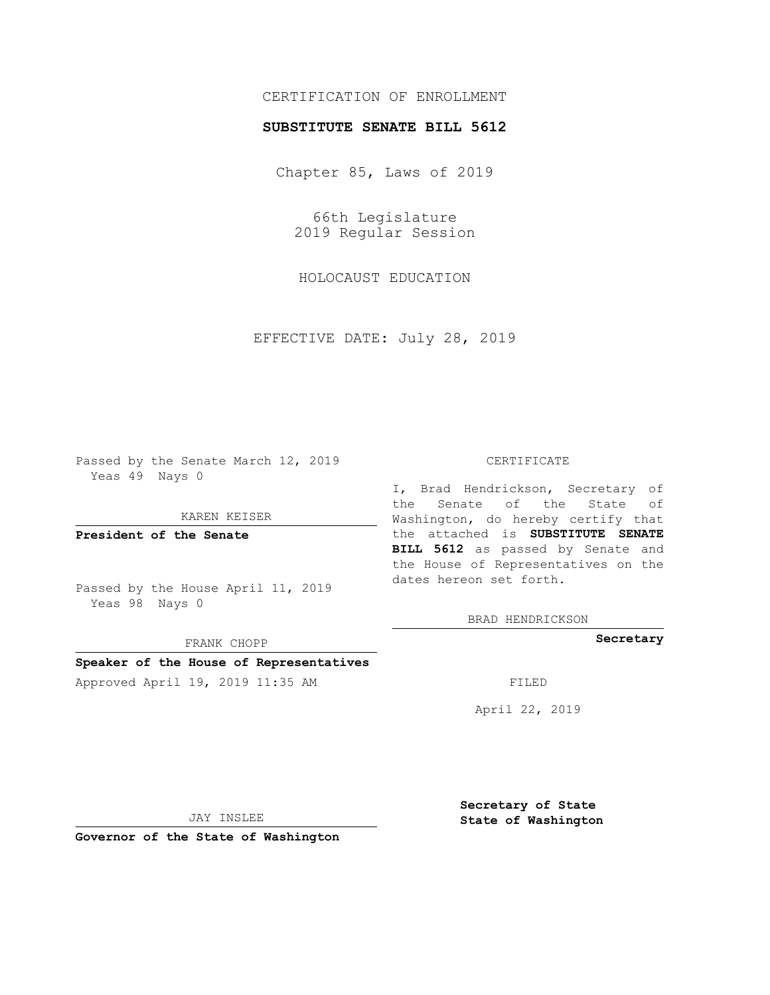# CERTIFICATION OF ENROLLMENT

## **SUBSTITUTE SENATE BILL 5612**

Chapter 85, Laws of 2019

66th Legislature 2019 Regular Session

HOLOCAUST EDUCATION

EFFECTIVE DATE: July 28, 2019

Passed by the Senate March 12, 2019 Yeas 49 Nays 0

KAREN KEISER

**President of the Senate**

Passed by the House April 11, 2019 Yeas 98 Nays 0

FRANK CHOPP

## **Speaker of the House of Representatives**

Approved April 19, 2019 11:35 AM FILED

#### CERTIFICATE

I, Brad Hendrickson, Secretary of the Senate of the State of Washington, do hereby certify that the attached is **SUBSTITUTE SENATE BILL 5612** as passed by Senate and the House of Representatives on the dates hereon set forth.

BRAD HENDRICKSON

**Secretary**

April 22, 2019

JAY INSLEE

**Governor of the State of Washington**

**Secretary of State State of Washington**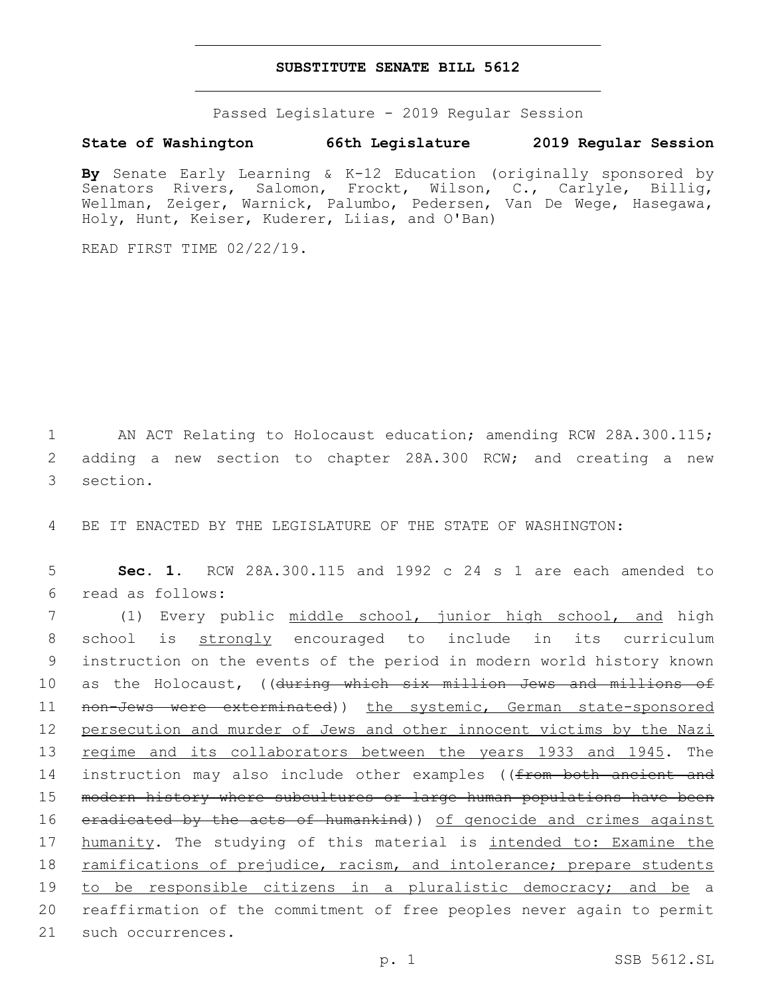### **SUBSTITUTE SENATE BILL 5612**

Passed Legislature - 2019 Regular Session

## **State of Washington 66th Legislature 2019 Regular Session**

**By** Senate Early Learning & K-12 Education (originally sponsored by Senators Rivers, Salomon, Frockt, Wilson, C., Carlyle, Billig, Wellman, Zeiger, Warnick, Palumbo, Pedersen, Van De Wege, Hasegawa, Holy, Hunt, Keiser, Kuderer, Liias, and O'Ban)

READ FIRST TIME 02/22/19.

1 AN ACT Relating to Holocaust education; amending RCW 28A.300.115; 2 adding a new section to chapter 28A.300 RCW; and creating a new 3 section.

4 BE IT ENACTED BY THE LEGISLATURE OF THE STATE OF WASHINGTON:

5 **Sec. 1.** RCW 28A.300.115 and 1992 c 24 s 1 are each amended to read as follows:6

7 (1) Every public middle school, junior high school, and high 8 school is strongly encouraged to include in its curriculum 9 instruction on the events of the period in modern world history known 10 as the Holocaust, ((during which six million Jews and millions of 11 non-Jews were exterminated)) the systemic, German state-sponsored 12 persecution and murder of Jews and other innocent victims by the Nazi 13 regime and its collaborators between the years 1933 and 1945. The 14 instruction may also include other examples ((from both ancient and 15 modern history where subcultures or large human populations have been 16 eradicated by the acts of humankind)) of genocide and crimes against 17 humanity. The studying of this material is intended to: Examine the 18 ramifications of prejudice, racism, and intolerance; prepare students 19 to be responsible citizens in a pluralistic democracy; and be a 20 reaffirmation of the commitment of free peoples never again to permit 21 such occurrences.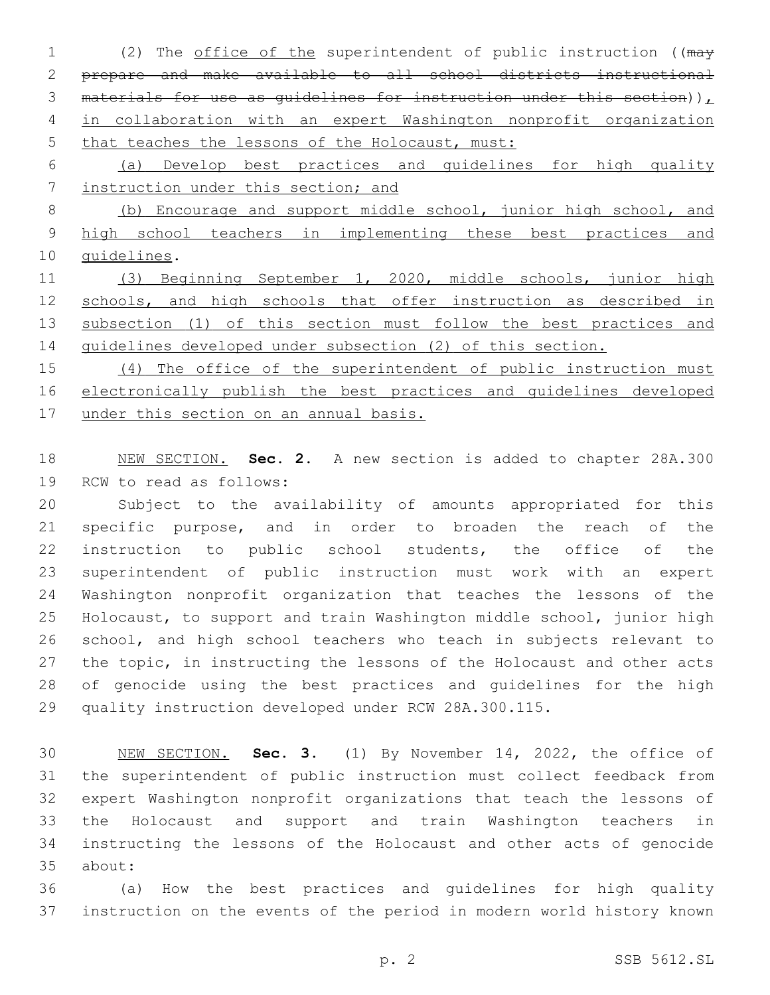1 (2) The office of the superintendent of public instruction ((may prepare and make available to all school districts instructional 3 materials for use as quidelines for instruction under this section)) $<sub>L</sub>$ </sub> in collaboration with an expert Washington nonprofit organization 5 that teaches the lessons of the Holocaust, must:

 (a) Develop best practices and guidelines for high quality instruction under this section; and

 (b) Encourage and support middle school, junior high school, and high school teachers in implementing these best practices and 10 guidelines.

 (3) Beginning September 1, 2020, middle schools, junior high schools, and high schools that offer instruction as described in 13 subsection (1) of this section must follow the best practices and guidelines developed under subsection (2) of this section.

15 (4) The office of the superintendent of public instruction must electronically publish the best practices and guidelines developed under this section on an annual basis.

 NEW SECTION. **Sec. 2.** A new section is added to chapter 28A.300 19 RCW to read as follows:

 Subject to the availability of amounts appropriated for this specific purpose, and in order to broaden the reach of the instruction to public school students, the office of the superintendent of public instruction must work with an expert Washington nonprofit organization that teaches the lessons of the Holocaust, to support and train Washington middle school, junior high school, and high school teachers who teach in subjects relevant to the topic, in instructing the lessons of the Holocaust and other acts of genocide using the best practices and guidelines for the high quality instruction developed under RCW 28A.300.115.

 NEW SECTION. **Sec. 3.** (1) By November 14, 2022, the office of the superintendent of public instruction must collect feedback from expert Washington nonprofit organizations that teach the lessons of the Holocaust and support and train Washington teachers in instructing the lessons of the Holocaust and other acts of genocide about:

 (a) How the best practices and guidelines for high quality instruction on the events of the period in modern world history known